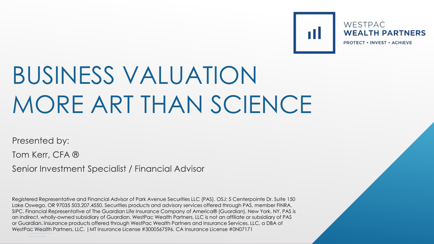WESTPAC **WEALTH PARTNERS PROTECT • INVEST • ACHIEVE** 

T.

# BUSINESS VALUATION MORE ART THAN SCIENCE

Presented by:

Tom Kerr, CFA ®

Senior Investment Specialist / Financial Advisor

or Guardian. Insurance products offered through WestPac Wealth Partners and Insurance Services, LLC, a DBA of WestPac Wealth Partners, LLC. | MT Insurance License #3000567596. CA Insurance License #0N07171 Registered Representative and Financial Advisor of Park Avenue Securities LLC (PAS). OSJ: 5 Centerpointe Dr. Suite 150 Lake Oswego, OR 97035 503.207.4550. Securities products and advisory services offered through PAS, member FINRA, SIPC. Financial Representative of The Guardian Life Insurance Company of America® (Guardian), New York, NY. PAS is an indirect, wholly-owned subsidiary of Guardian. WestPac Wealth Partners, LLC is not an affiliate or subsidiary of PAS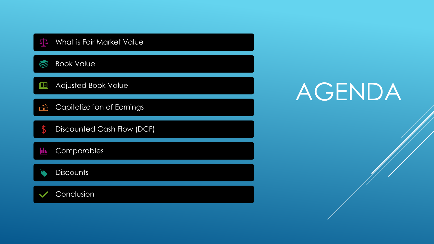| <u> 자</u><br>What is Fair Market Value   |  |
|------------------------------------------|--|
| <b>Book Value</b>                        |  |
| <b>Adjusted Book Value</b><br><u>io </u> |  |
| <b>Capitalization of Earnings</b><br>ó   |  |
| Discounted Cash Flow (DCF)<br>\$         |  |
| Comparables<br><u>lılı</u>               |  |
| <b>Discounts</b>                         |  |
| Conclusion                               |  |

# AGENDA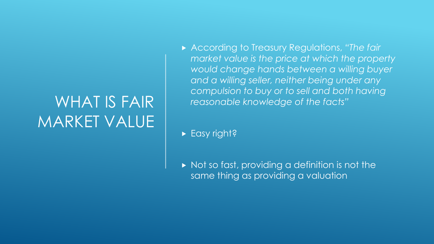#### WHAT IS FAIR MARKET VALUE

 According to Treasury Regulations, *"The fair market value is the price at which the property would change hands between a willing buyer and a willing seller, neither being under any compulsion to buy or to sell and both having reasonable knowledge of the facts"*

Easy right?

 $\triangleright$  Not so fast, providing a definition is not the same thing as providing a valuation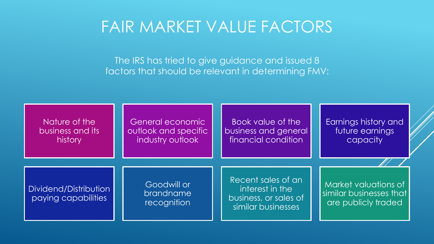#### FAIR MARKET VALUE FACTORS

The IRS has tried to give guidance and issued 8 factors that should be relevant in determining FMV:

| Nature of the                                | General economic                        | Book value of the                                                                    | Earnings history and                                                   |
|----------------------------------------------|-----------------------------------------|--------------------------------------------------------------------------------------|------------------------------------------------------------------------|
| business and its                             | outlook and specific                    | business and general                                                                 | future earnings                                                        |
| history                                      | industry outlook                        | financial condition                                                                  | capacity                                                               |
| Dividend/Distribution<br>paying capabilities | Goodwill or<br>brandname<br>recognition | Recent sales of an<br>interest in the<br>business, or sales of<br>similar businesses | Market valuations of<br>similar businesses that<br>are publicly traded |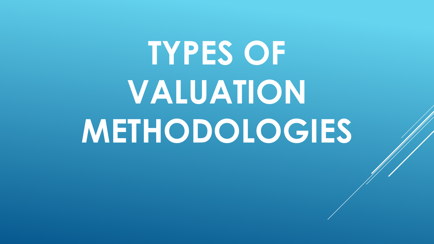# **TYPES OF VALUATION METHODOLOGIES**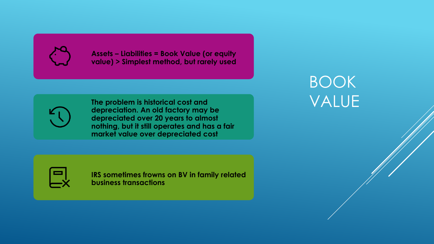

**Assets – Liabilities = Book Value (or equity value) > Simplest method, but rarely used**

**The problem is historical cost and depreciation. An old factory may be depreciated over 20 years to almost nothing, but it still operates and has a fair market value over depreciated cost**

**IRS sometimes frowns on BV in family related business transactions**

#### BOOK VALUE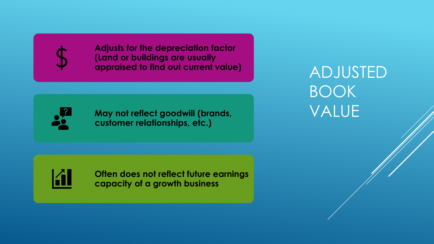

**Adjusts for the depreciation factor (Land or buildings are usually appraised to find out current value)**



**May not reflect goodwill (brands, customer relationships, etc.)**

ADJUSTED BOOK VALUE



**Often does not reflect future earnings capacity of a growth business**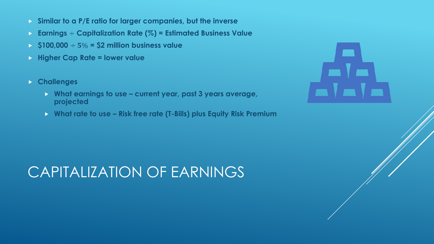- **Similar to a P/E ratio for larger companies, but the inverse**
- **Earnings** ÷ **Capitalization Rate (%) = Estimated Business Value**
- $\blacktriangleright$  \$100,000  $\div$  5% = \$2 million business value
- **Higher Cap Rate = lower value**
- **Challenges**
	- **What earnings to use – current year, past 3 years average, projected**
	- **What rate to use – Risk free rate (T-Bills) plus Equity Risk Premium**



#### CAPITALIZATION OF EARNINGS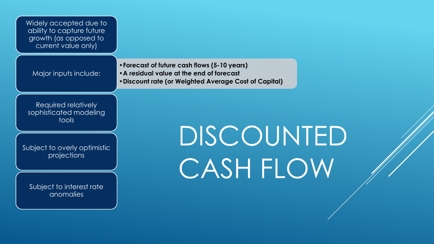| Widely accepted due to<br>ability to capture future<br>growth (as opposed to<br>current value only) |                                                                                                                                                    |  |
|-----------------------------------------------------------------------------------------------------|----------------------------------------------------------------------------------------------------------------------------------------------------|--|
| Major inputs include:                                                                               | • Forecast of future cash flows (5-10 years)<br>• A residual value at the end of forecast<br>. Discount rate (or Weighted Average Cost of Capital) |  |
| Required relatively<br>sophisticated modeling<br>tools                                              |                                                                                                                                                    |  |
| Subject to overly optimistic<br>projections                                                         | DISCOUNTED<br>CASH FLOW                                                                                                                            |  |
| Subject to interest rate<br>anomalies                                                               |                                                                                                                                                    |  |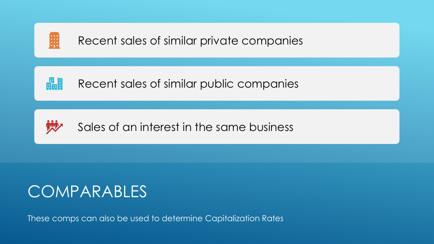

畾 Recent sales of similar public companies



Sales of an interest in the same business

#### COMPARABLES

These comps can also be used to determine Capitalization Rates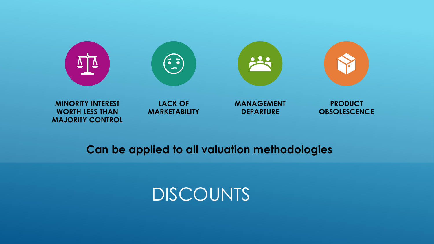

#### **Can be applied to all valuation methodologies**

**MAJORITY CONTROL**

#### DISCOUNTS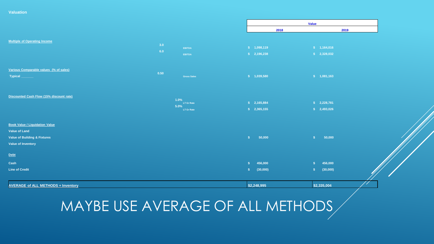**Valuation** 

|                                                                                                                                                                                                                                                                                                                                                                                                                                                                                                                                                                                                                                  |            |                                          |                                                 | <b>Value</b>                  |  |
|----------------------------------------------------------------------------------------------------------------------------------------------------------------------------------------------------------------------------------------------------------------------------------------------------------------------------------------------------------------------------------------------------------------------------------------------------------------------------------------------------------------------------------------------------------------------------------------------------------------------------------|------------|------------------------------------------|-------------------------------------------------|-------------------------------|--|
|                                                                                                                                                                                                                                                                                                                                                                                                                                                                                                                                                                                                                                  |            |                                          | 2018                                            | 2019                          |  |
| <b>Multiple of Operating Income</b>                                                                                                                                                                                                                                                                                                                                                                                                                                                                                                                                                                                              | 3.0<br>6.0 | EBITDA<br>EBITDA                         | \$ 1,098,119<br>\$2,196,238                     | \$ 1,164,016<br>\$2,328,032   |  |
| Various Comparable values (% of sales)<br><b>Typical</b>                                                                                                                                                                                                                                                                                                                                                                                                                                                                                                                                                                         | 0.50       | <b>Gross Sales</b>                       | \$ 1,039,580                                    | \$ 1,081,163                  |  |
| Discounted Cash Flow (15% discount rate)                                                                                                                                                                                                                                                                                                                                                                                                                                                                                                                                                                                         |            | 1.0%<br>LT Gr Rate<br>5.0%<br>LT Gr Rate | \$2,165,884<br>\$2,365,155                      | \$2,228,781<br>\$2,493,026    |  |
| <b>Book Value / Liquidation Value</b><br><b>Value of Land</b><br>Value of Building & Fixtures<br>Value of Inventory                                                                                                                                                                                                                                                                                                                                                                                                                                                                                                              |            |                                          | 50,000<br>S                                     | 50,000<br>S                   |  |
| ${\bf \underline{Debt}}% \hfill {\bf \underline{Debt}}% \hfill {\bf \underline{Debt}}% \hfill {\bf \underline{Debt}}% \hfill {\bf \underline{Debt}}% \hfill {\bf \underline{Debt}}% \hfill {\bf \underline{Debt}}% \hfill {\bf \underline{Debt}}% \hfill {\bf \underline{Debt}}% \hfill {\bf \underline{Debt}}% \hfill {\bf \underline{Debt}}% \hfill {\bf \underline{Debt}}% \hfill {\bf \underline{Debt}}% \hfill {\bf \underline{Debt}}% \hfill {\bf \underline{Debt}}% \hfill {\bf \underline{Debt}}% \hfill {\bf \underline{Debt}}% \hfill {\bf \underline{Debt}}% \hfill {\bf \underline$<br>Cash<br><b>Line of Credit</b> |            |                                          | 456,000<br><b>S</b><br>(30,000)<br>$\mathbf{s}$ | 456,000<br>S<br>(30,000)<br>S |  |
| <b>AVERAGE of ALL METHODS + Inventory</b>                                                                                                                                                                                                                                                                                                                                                                                                                                                                                                                                                                                        |            |                                          | \$2,248,995                                     | \$2,335,004                   |  |

MAYBE USE AVERAGE OF ALL METHODS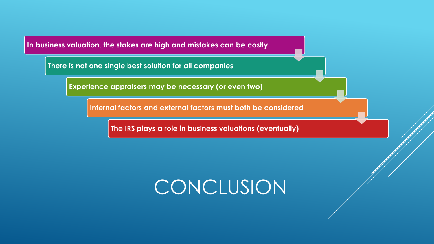**In business valuation, the stakes are high and mistakes can be costly**

**There is not one single best solution for all companies**

**Experience appraisers may be necessary (or even two)**

**Internal factors and external factors must both be considered**

**The IRS plays a role in business valuations (eventually)**

## CONCLUSION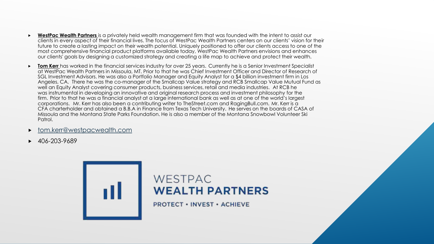- **WestPac Wealth Partners** is a privately held wealth management firm that was founded with the intent to assist our clients in every aspect of their financial lives. The focus of WestPac Wealth Partners centers on our clients' vision for their future to create a lasting impact on their wealth potential. Uniquely positioned to offer our clients access to one of the most comprehensive financial product platforms available today, WestPac Wealth Partners envisions and enhances our clients' goals by designing a customized strategy and creating a life map to achieve and protect their wealth.
- **Tom Kerr** has worked in the financial services industry for over 25 years. Currently he is a Senior Investment Specialist at WestPac Wealth Partners in Missoula, MT. Prior to that he was Chief Investment Officer and Director of Research of SGL Investment Advisors. He was also a Portfolio Manager and Equity Analyst for a \$4 billion investment firm in Los Angeles, CA. There he was the co-manager of the Smallcap Value strategy and RCB Smallcap Value Mutual Fund as well an Equity Analyst covering consumer products, business services, retail and media industries. At RCB he was instrumental in developing an innovative and original research process and investment philosophy for the firm. Prior to that he was a financial analyst at a large international bank as well as at one of the world's largest corporations. Mr. Kerr has also been a contributing writer to TheStreet.com and RagingBull.com. Mr. Kerr is a CFA charterholder and obtained a B.B.A in Finance from Texas Tech University. He serves on the boards of CASA of Missoula and the Montana State Parks Foundation. He is also a member of the Montana Snowbowl Volunteer Ski Patrol.
- [tom.kerr@westpacwealth.com](mailto:tom.kerr@westpacwealth.com)
- 406-203-9689

#### WESTPAC **WEALTH PARTNERS**

**PROTECT • INVEST • ACHIEVE**